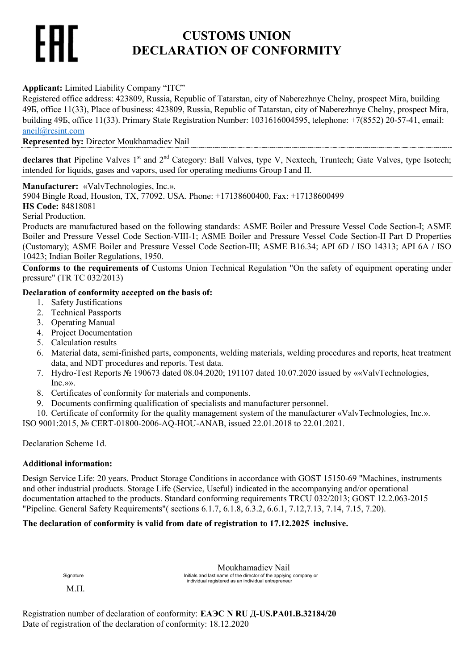## **CUSTOMS UNION DECLARATION OF CONFORMITY**

#### **Applicant:** Limited Liability Company "ITC"

Registered office address: 423809, Russia, Republic of Tatarstan, city of Naberezhnye Chelny, prospect Mira, building 49Б, office 11(33), Place of business: 423809, Russia, Republic of Tatarstan, city of Naberezhnye Chelny, prospect Mira, building 49Б, office 11(33). Primary State Registration Number: 1031616004595, telephone: +7(8552) 20-57-41, email: [aneil@rcsint.com](mailto:aneil@rcsint.com)

**Represented by:** Director Moukhamadiev Nail

declares that Pipeline Valves 1<sup>st</sup> and 2<sup>nd</sup> Category: Ball Valves, type V, Nextech, Truntech; Gate Valves, type Isotech; intended for liquids, gases and vapors, used for operating mediums Group I and II.

**Manufacturer:** «ValvTechnologies, Inc.».

5904 Bingle Road, Houston, TX, 77092. USA. Phone: +17138600400, Fax: +17138600499

**HS Сode:** 84818081

Serial Production.

Products are manufactured based on the following standards: ASME Boiler and Pressure Vessel Code Section-I; ASME Boiler and Pressure Vessel Code Section-VIII-1; ASME Boiler and Pressure Vessel Code Section-II Part D Properties (Customary); ASME Boiler and Pressure Vessel Code Section-III; ASME B16.34; API 6D / ISO 14313; API 6A / ISO 10423; Indian Boiler Regulations, 1950.

**Conforms to the requirements of** Customs Union Technical Regulation "On the safety of equipment operating under pressure" (TR TC 032/2013)

#### **Declaration of conformity accepted on the basis of:**

- 1. Safety Justifications
- 2. Technical Passports
- 3. Operating Manual
- 4. Project Documentation
- 5. Calculation results
- 6. Material data, semi-finished parts, components, welding materials, welding procedures and reports, heat treatment data, and NDT procedures and reports. Test data.
- 7. Hydro-Test Reports № 190673 dated 08.04.2020; 191107 dated 10.07.2020 issued by ««ValvTechnologies, Inc.»».
- 8. Certificates of conformity for materials and components.
- 9. Documents confirming qualification of specialists and manufacturer personnel.
- 10. Certificate of conformity for the quality management system of the manufacturer «ValvTechnologies, Inc.».

ISO 9001:2015, № CERT-01800-2006-AQ-HOU-ANAB, issued 22.01.2018 to 22.01.2021.

Declaration Scheme 1d.

#### **Additional information:**

Design Service Life: 20 years. Product Storage Conditions in accordance with GOST 15150-69 "Machines, instruments and other industrial products. Storage Life (Service, Useful) indicated in the accompanying and/or operational documentation attached to the products. Standard conforming requirements TRCU 032/2013; GOST 12.2.063-2015 "Pipeline. General Safety Requirements"( sections 6.1.7, 6.1.8, 6.3.2, 6.6.1, 7.12,7.13, 7.14, 7.15, 7.20).

### **The declaration of conformity is valid from date of registration to 17.12.2025 inclusive.**

Signature **Example 20**<br>Signature Initials and last name of the director of the applying company or

individual registered as an individual entrepreneur

М.П.

Registration number of declaration of conformity: **ЕАЭС N RU Д-US.РА01.В.32184/20** Date of registration of the declaration of conformity: 18.12.2020